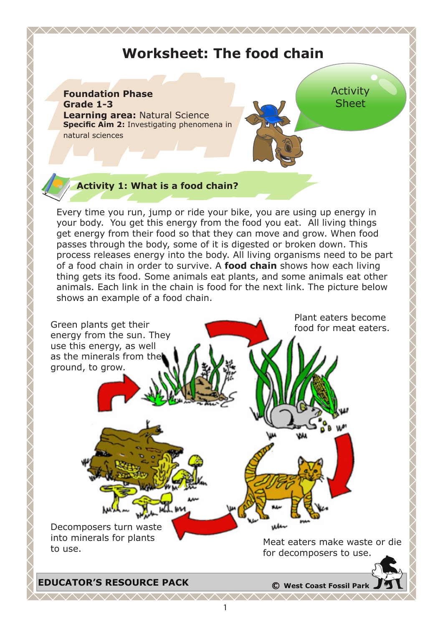# **Worksheet: The food chain**

<u>AAAAAAAAAAAAAAAAAAAAAAAAAA</u>

#### **Foundation Phase Grade 1-3 Learning area:** Natural Science **Specific Aim 2:** Investigating phenomena in natural sciences

Activity Sheet

### **Activity 1: What is a food chain?**

Every time you run, jump or ride your bike, you are using up energy in your body. You get this energy from the food you eat. All living things get energy from their food so that they can move and grow. When food passes through the body, some of it is digested or broken down. This process releases energy into the body. All living organisms need to be part of a food chain in order to survive. A **food chain** shows how each living thing gets its food. Some animals eat plants, and some animals eat other animals. Each link in the chain is food for the next link. The picture below shows an example of a food chain.

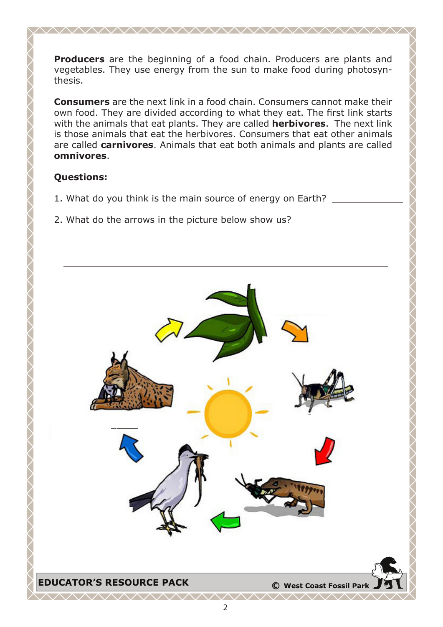**Producers** are the beginning of a food chain. Producers are plants and vegetables. They use energy from the sun to make food during photosynthesis.

**Consumers** are the next link in a food chain. Consumers cannot make their own food. They are divided according to what they eat. The first link starts with the animals that eat plants. They are called **herbivores**. The next link is those animals that eat the herbivores. Consumers that eat other animals are called **carnivores**. Animals that eat both animals and plants are called **omnivores**.

### **Questions:**

- 1. What do you think is the main source of energy on Earth?
- 2. What do the arrows in the picture below show us?

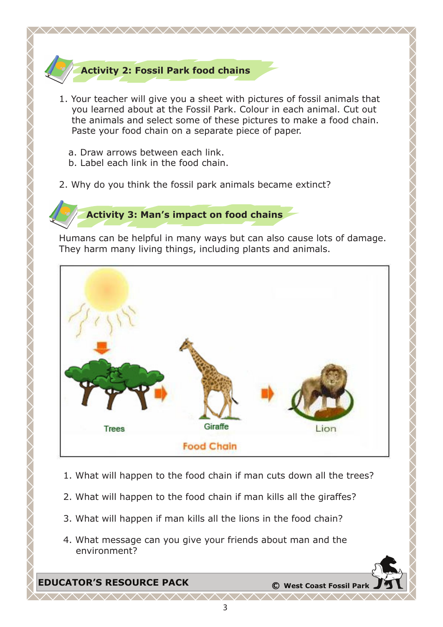## **Activity 2: Fossil Park food chains**

1. Your teacher will give you a sheet with pictures of fossil animals that you learned about at the Fossil Park. Colour in each animal. Cut out the animals and select some of these pictures to make a food chain. Paste your food chain on a separate piece of paper.

<u>AAAAAAAAAAAAAAAAAAAAAAAA</u>

- a. Draw arrows between each link.
- b. Label each link in the food chain.
- 2. Why do you think the fossil park animals became extinct?



Humans can be helpful in many ways but can also cause lots of damage. They harm many living things, including plants and animals.



- 1. What will happen to the food chain if man cuts down all the trees?
- 2. What will happen to the food chain if man kills all the giraffes?
- 3. What will happen if man kills all the lions in the food chain?
- 4. What message can you give your friends about man and the environment?

**EDUCATOR'S RESOURCE PACK <sup>C</sup> West Coast Fossil Park**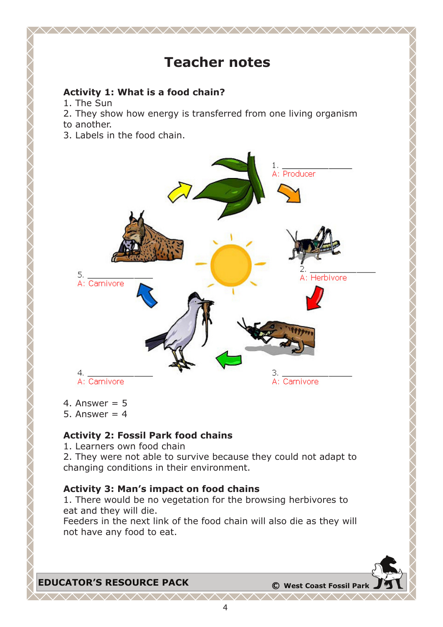# **Teacher notes**

<u>WWW.WWW.WWW.WWW.WWW.</u>

### **Activity 1: What is a food chain?**

- 1. The Sun
- 2. They show how energy is transferred from one living organism to another.
- 3. Labels in the food chain.



- 4. Answer  $= 5$
- 5. Answer  $= 4$

### **Activity 2: Fossil Park food chains**

- 1. Learners own food chain
- 2. They were not able to survive because they could not adapt to changing conditions in their environment.

### **Activity 3: Man's impact on food chains**

1. There would be no vegetation for the browsing herbivores to eat and they will die.

Feeders in the next link of the food chain will also die as they will not have any food to eat.

![](_page_3_Picture_14.jpeg)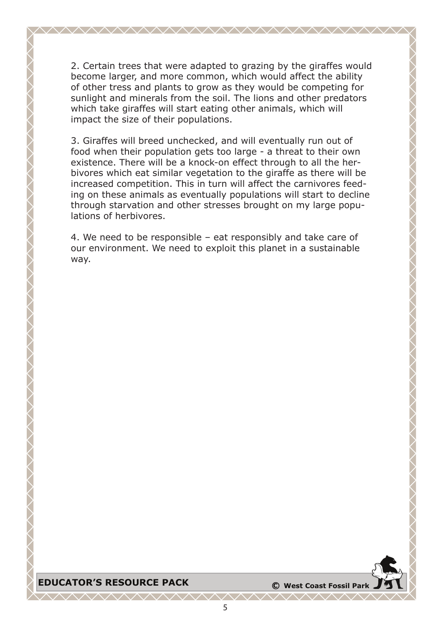2. Certain trees that were adapted to grazing by the giraffes would become larger, and more common, which would affect the ability of other tress and plants to grow as they would be competing for sunlight and minerals from the soil. The lions and other predators which take giraffes will start eating other animals, which will impact the size of their populations.

<u> VAAAAAAAAAAAAAAAAAAAAAA</u>

3. Giraffes will breed unchecked, and will eventually run out of food when their population gets too large - a threat to their own existence. There will be a knock-on effect through to all the herbivores which eat similar vegetation to the giraffe as there will be increased competition. This in turn will affect the carnivores feeding on these animals as eventually populations will start to decline through starvation and other stresses brought on my large populations of herbivores.

4. We need to be responsible – eat responsibly and take care of our environment. We need to exploit this planet in a sustainable way.

### **EDUCATOR'S RESOURCE PACK <sup>C</sup> West Coast Fossil Park**